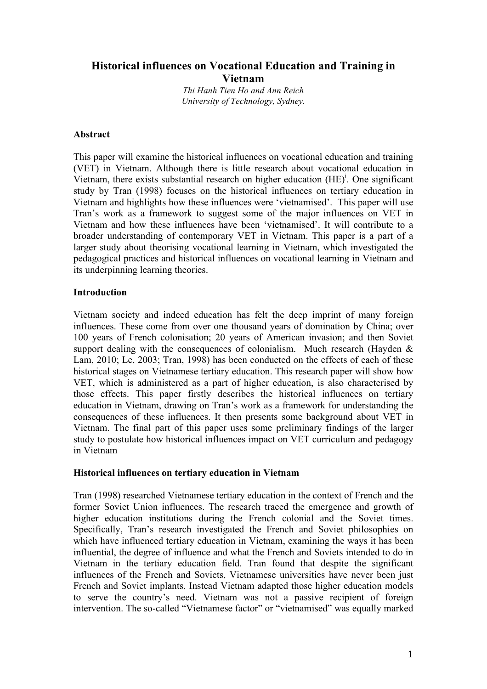# **Historical influences on Vocational Education and Training in Vietnam**

*Thi Hanh Tien Ho and Ann Reich University of Technology, Sydney.*

### **Abstract**

This paper will examine the historical influences on vocational education and training (VET) in Vietnam. Although there is little research about vocational education in Vietnam, there exists substantial research on higher education  $(HE)^{i}$ . One significant study by Tran (1998) focuses on the historical influences on tertiary education in Vietnam and highlights how these influences were 'vietnamised'. This paper will use Tran's work as a framework to suggest some of the major influences on VET in Vietnam and how these influences have been 'vietnamised'. It will contribute to a broader understanding of contemporary VET in Vietnam. This paper is a part of a larger study about theorising vocational learning in Vietnam, which investigated the pedagogical practices and historical influences on vocational learning in Vietnam and its underpinning learning theories.

# **Introduction**

Vietnam society and indeed education has felt the deep imprint of many foreign influences. These come from over one thousand years of domination by China; over 100 years of French colonisation; 20 years of American invasion; and then Soviet support dealing with the consequences of colonialism. Much research (Hayden  $\&$ Lam, 2010; Le, 2003; Tran, 1998) has been conducted on the effects of each of these historical stages on Vietnamese tertiary education. This research paper will show how VET, which is administered as a part of higher education, is also characterised by those effects. This paper firstly describes the historical influences on tertiary education in Vietnam, drawing on Tran's work as a framework for understanding the consequences of these influences. It then presents some background about VET in Vietnam. The final part of this paper uses some preliminary findings of the larger study to postulate how historical influences impact on VET curriculum and pedagogy in Vietnam

# **Historical influences on tertiary education in Vietnam**

Tran (1998) researched Vietnamese tertiary education in the context of French and the former Soviet Union influences. The research traced the emergence and growth of higher education institutions during the French colonial and the Soviet times. Specifically, Tran's research investigated the French and Soviet philosophies on which have influenced tertiary education in Vietnam, examining the ways it has been influential, the degree of influence and what the French and Soviets intended to do in Vietnam in the tertiary education field. Tran found that despite the significant influences of the French and Soviets, Vietnamese universities have never been just French and Soviet implants. Instead Vietnam adapted those higher education models to serve the country's need. Vietnam was not a passive recipient of foreign intervention. The so-called "Vietnamese factor" or "vietnamised" was equally marked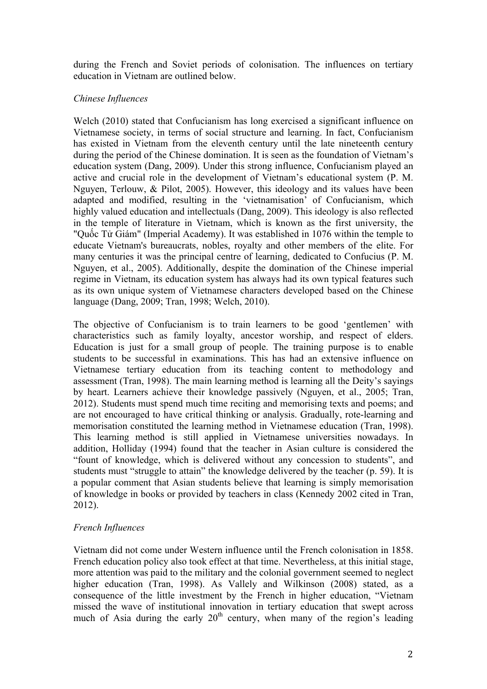during the French and Soviet periods of colonisation. The influences on tertiary education in Vietnam are outlined below.

# *Chinese Influences*

Welch (2010) stated that Confucianism has long exercised a significant influence on Vietnamese society, in terms of social structure and learning. In fact, Confucianism has existed in Vietnam from the eleventh century until the late nineteenth century during the period of the Chinese domination. It is seen as the foundation of Vietnam's education system (Dang, 2009). Under this strong influence, Confucianism played an active and crucial role in the development of Vietnam's educational system (P. M. Nguyen, Terlouw, & Pilot, 2005). However, this ideology and its values have been adapted and modified, resulting in the 'vietnamisation' of Confucianism, which highly valued education and intellectuals (Dang, 2009). This ideology is also reflected in the temple of literature in Vietnam, which is known as the first university, the "Quốc Tử Giám" (Imperial Academy). It was established in 1076 within the temple to educate Vietnam's bureaucrats, nobles, royalty and other members of the elite. For many centuries it was the principal centre of learning, dedicated to Confucius (P. M. Nguyen, et al., 2005). Additionally, despite the domination of the Chinese imperial regime in Vietnam, its education system has always had its own typical features such as its own unique system of Vietnamese characters developed based on the Chinese language (Dang, 2009; Tran, 1998; Welch, 2010).

The objective of Confucianism is to train learners to be good 'gentlemen' with characteristics such as family loyalty, ancestor worship, and respect of elders. Education is just for a small group of people. The training purpose is to enable students to be successful in examinations. This has had an extensive influence on Vietnamese tertiary education from its teaching content to methodology and assessment (Tran, 1998). The main learning method is learning all the Deity's sayings by heart. Learners achieve their knowledge passively (Nguyen, et al., 2005; Tran, 2012). Students must spend much time reciting and memorising texts and poems; and are not encouraged to have critical thinking or analysis. Gradually, rote-learning and memorisation constituted the learning method in Vietnamese education (Tran, 1998). This learning method is still applied in Vietnamese universities nowadays. In addition, Holliday (1994) found that the teacher in Asian culture is considered the "fount of knowledge, which is delivered without any concession to students", and students must "struggle to attain" the knowledge delivered by the teacher (p. 59). It is a popular comment that Asian students believe that learning is simply memorisation of knowledge in books or provided by teachers in class (Kennedy 2002 cited in Tran, 2012).

# *French Influences*

Vietnam did not come under Western influence until the French colonisation in 1858. French education policy also took effect at that time. Nevertheless, at this initial stage, more attention was paid to the military and the colonial government seemed to neglect higher education (Tran, 1998). As Vallely and Wilkinson (2008) stated, as a consequence of the little investment by the French in higher education, "Vietnam missed the wave of institutional innovation in tertiary education that swept across much of Asia during the early  $20<sup>th</sup>$  century, when many of the region's leading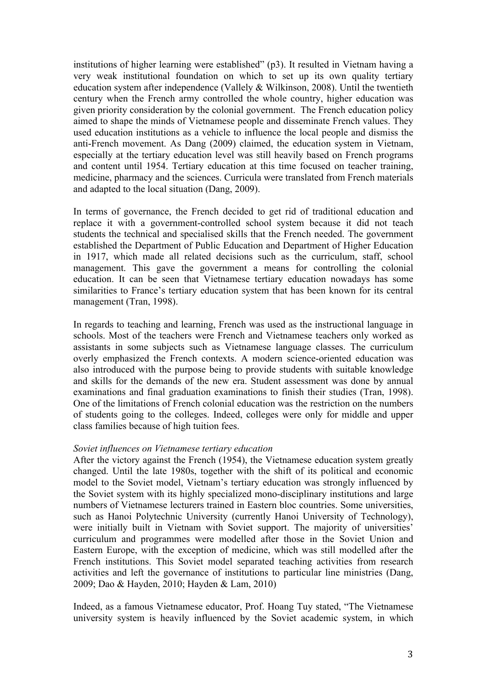institutions of higher learning were established" (p3). It resulted in Vietnam having a very weak institutional foundation on which to set up its own quality tertiary education system after independence (Vallely & Wilkinson, 2008). Until the twentieth century when the French army controlled the whole country, higher education was given priority consideration by the colonial government. The French education policy aimed to shape the minds of Vietnamese people and disseminate French values. They used education institutions as a vehicle to influence the local people and dismiss the anti-French movement. As Dang (2009) claimed, the education system in Vietnam, especially at the tertiary education level was still heavily based on French programs and content until 1954. Tertiary education at this time focused on teacher training, medicine, pharmacy and the sciences. Curricula were translated from French materials and adapted to the local situation (Dang, 2009).

In terms of governance, the French decided to get rid of traditional education and replace it with a government-controlled school system because it did not teach students the technical and specialised skills that the French needed. The government established the Department of Public Education and Department of Higher Education in 1917, which made all related decisions such as the curriculum, staff, school management. This gave the government a means for controlling the colonial education. It can be seen that Vietnamese tertiary education nowadays has some similarities to France's tertiary education system that has been known for its central management (Tran, 1998).

In regards to teaching and learning, French was used as the instructional language in schools. Most of the teachers were French and Vietnamese teachers only worked as assistants in some subjects such as Vietnamese language classes. The curriculum overly emphasized the French contexts. A modern science-oriented education was also introduced with the purpose being to provide students with suitable knowledge and skills for the demands of the new era. Student assessment was done by annual examinations and final graduation examinations to finish their studies (Tran, 1998). One of the limitations of French colonial education was the restriction on the numbers of students going to the colleges. Indeed, colleges were only for middle and upper class families because of high tuition fees.

### *Soviet influences on Vietnamese tertiary education*

After the victory against the French (1954), the Vietnamese education system greatly changed. Until the late 1980s, together with the shift of its political and economic model to the Soviet model, Vietnam's tertiary education was strongly influenced by the Soviet system with its highly specialized mono-disciplinary institutions and large numbers of Vietnamese lecturers trained in Eastern bloc countries. Some universities, such as Hanoi Polytechnic University (currently Hanoi University of Technology), were initially built in Vietnam with Soviet support. The majority of universities' curriculum and programmes were modelled after those in the Soviet Union and Eastern Europe, with the exception of medicine, which was still modelled after the French institutions. This Soviet model separated teaching activities from research activities and left the governance of institutions to particular line ministries (Dang, 2009; Dao & Hayden, 2010; Hayden & Lam, 2010)

Indeed, as a famous Vietnamese educator, Prof. Hoang Tuy stated, "The Vietnamese university system is heavily influenced by the Soviet academic system, in which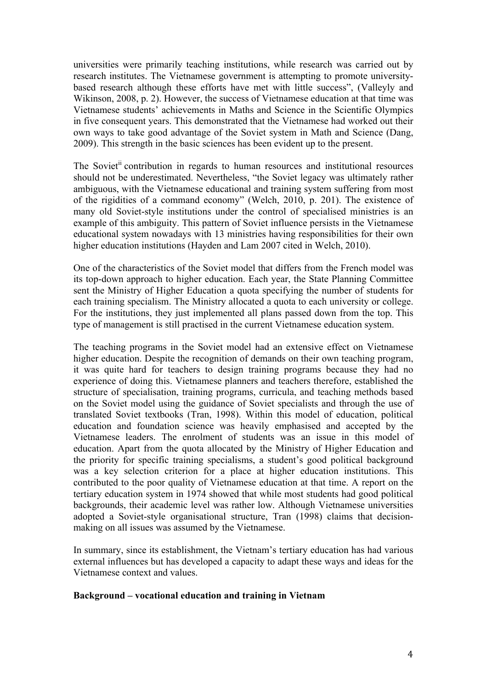universities were primarily teaching institutions, while research was carried out by research institutes. The Vietnamese government is attempting to promote universitybased research although these efforts have met with little success", (Valleyly and Wikinson, 2008, p. 2). However, the success of Vietnamese education at that time was Vietnamese students' achievements in Maths and Science in the Scientific Olympics in five consequent years. This demonstrated that the Vietnamese had worked out their own ways to take good advantage of the Soviet system in Math and Science (Dang, 2009). This strength in the basic sciences has been evident up to the present.

The Soviet<sup>ii</sup> contribution in regards to human resources and institutional resources should not be underestimated. Nevertheless, "the Soviet legacy was ultimately rather ambiguous, with the Vietnamese educational and training system suffering from most of the rigidities of a command economy" (Welch, 2010, p. 201). The existence of many old Soviet-style institutions under the control of specialised ministries is an example of this ambiguity. This pattern of Soviet influence persists in the Vietnamese educational system nowadays with 13 ministries having responsibilities for their own higher education institutions (Hayden and Lam 2007 cited in Welch, 2010).

One of the characteristics of the Soviet model that differs from the French model was its top-down approach to higher education. Each year, the State Planning Committee sent the Ministry of Higher Education a quota specifying the number of students for each training specialism. The Ministry allocated a quota to each university or college. For the institutions, they just implemented all plans passed down from the top. This type of management is still practised in the current Vietnamese education system.

The teaching programs in the Soviet model had an extensive effect on Vietnamese higher education. Despite the recognition of demands on their own teaching program, it was quite hard for teachers to design training programs because they had no experience of doing this. Vietnamese planners and teachers therefore, established the structure of specialisation, training programs, curricula, and teaching methods based on the Soviet model using the guidance of Soviet specialists and through the use of translated Soviet textbooks (Tran, 1998). Within this model of education, political education and foundation science was heavily emphasised and accepted by the Vietnamese leaders. The enrolment of students was an issue in this model of education. Apart from the quota allocated by the Ministry of Higher Education and the priority for specific training specialisms, a student's good political background was a key selection criterion for a place at higher education institutions. This contributed to the poor quality of Vietnamese education at that time. A report on the tertiary education system in 1974 showed that while most students had good political backgrounds, their academic level was rather low. Although Vietnamese universities adopted a Soviet-style organisational structure, Tran (1998) claims that decisionmaking on all issues was assumed by the Vietnamese.

In summary, since its establishment, the Vietnam's tertiary education has had various external influences but has developed a capacity to adapt these ways and ideas for the Vietnamese context and values.

#### **Background – vocational education and training in Vietnam**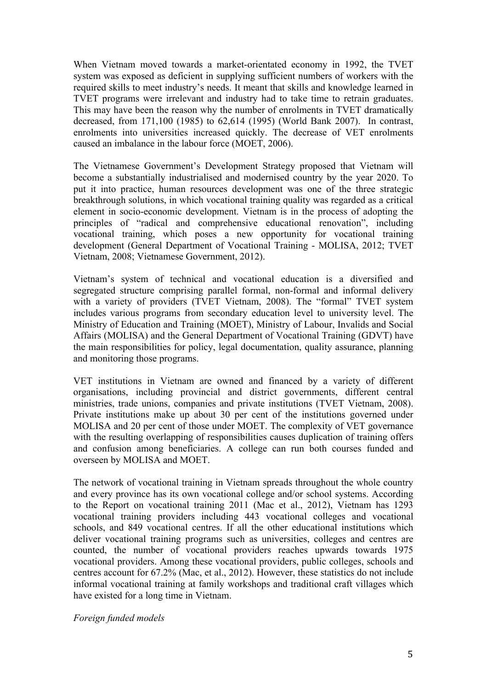When Vietnam moved towards a market-orientated economy in 1992, the TVET system was exposed as deficient in supplying sufficient numbers of workers with the required skills to meet industry's needs. It meant that skills and knowledge learned in TVET programs were irrelevant and industry had to take time to retrain graduates. This may have been the reason why the number of enrolments in TVET dramatically decreased, from 171,100 (1985) to 62,614 (1995) (World Bank 2007). In contrast, enrolments into universities increased quickly. The decrease of VET enrolments caused an imbalance in the labour force (MOET, 2006).

The Vietnamese Government's Development Strategy proposed that Vietnam will become a substantially industrialised and modernised country by the year 2020. To put it into practice, human resources development was one of the three strategic breakthrough solutions, in which vocational training quality was regarded as a critical element in socio-economic development. Vietnam is in the process of adopting the principles of "radical and comprehensive educational renovation", including vocational training, which poses a new opportunity for vocational training development (General Department of Vocational Training - MOLISA, 2012; TVET Vietnam, 2008; Vietnamese Government, 2012).

Vietnam's system of technical and vocational education is a diversified and segregated structure comprising parallel formal, non-formal and informal delivery with a variety of providers (TVET Vietnam, 2008). The "formal" TVET system includes various programs from secondary education level to university level. The Ministry of Education and Training (MOET), Ministry of Labour, Invalids and Social Affairs (MOLISA) and the General Department of Vocational Training (GDVT) have the main responsibilities for policy, legal documentation, quality assurance, planning and monitoring those programs.

VET institutions in Vietnam are owned and financed by a variety of different organisations, including provincial and district governments, different central ministries, trade unions, companies and private institutions (TVET Vietnam, 2008). Private institutions make up about 30 per cent of the institutions governed under MOLISA and 20 per cent of those under MOET. The complexity of VET governance with the resulting overlapping of responsibilities causes duplication of training offers and confusion among beneficiaries. A college can run both courses funded and overseen by MOLISA and MOET.

The network of vocational training in Vietnam spreads throughout the whole country and every province has its own vocational college and/or school systems. According to the Report on vocational training 2011 (Mac et al., 2012), Vietnam has 1293 vocational training providers including 443 vocational colleges and vocational schools, and 849 vocational centres. If all the other educational institutions which deliver vocational training programs such as universities, colleges and centres are counted, the number of vocational providers reaches upwards towards 1975 vocational providers. Among these vocational providers, public colleges, schools and centres account for 67.2% (Mac, et al., 2012). However, these statistics do not include informal vocational training at family workshops and traditional craft villages which have existed for a long time in Vietnam.

*Foreign funded models*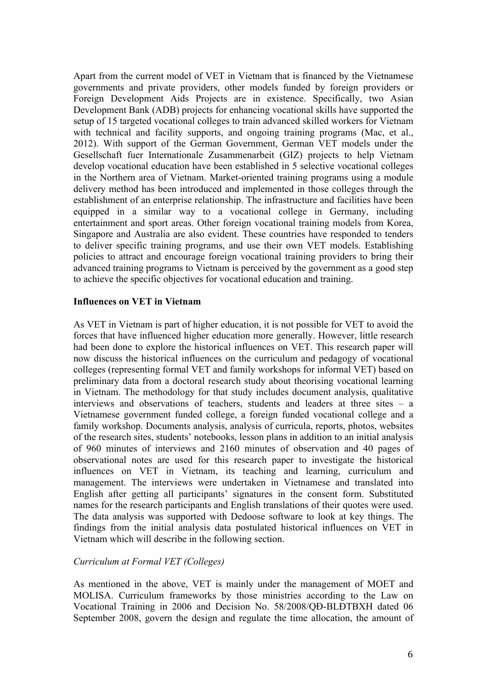Apart from the current model of VET in Vietnam that is financed by the Vietnamese governments and private providers, other models funded by foreign providers or Foreign Development Aids Projects are in existence. Specifically, two Asian Development Bank (ADB) projects for enhancing vocational skills have supported the setup of 15 targeted vocational colleges to train advanced skilled workers for Vietnam with technical and facility supports, and ongoing training programs (Mac, et al., 2012). With support of the German Government, German VET models under the Gesellschaft fuer Internationale Zusammenarbeit (GIZ) projects to help Vietnam develop vocational education have been established in 5 selective vocational colleges in the Northern area of Vietnam. Market-oriented training programs using a module delivery method has been introduced and implemented in those colleges through the establishment of an enterprise relationship. The infrastructure and facilities have been equipped in a similar way to a vocational college in Germany, including entertainment and sport areas. Other foreign vocational training models from Korea, Singapore and Australia are also evident. These countries have responded to tenders to deliver specific training programs, and use their own VET models. Establishing policies to attract and encourage foreign vocational training providers to bring their advanced training programs to Vietnam is perceived by the government as a good step to achieve the specific objectives for vocational education and training.

### **Influences on VET in Vietnam**

As VET in Vietnam is part of higher education, it is not possible for VET to avoid the forces that have influenced higher education more generally. However, little research had been done to explore the historical influences on VET. This research paper will now discuss the historical influences on the curriculum and pedagogy of vocational colleges (representing formal VET and family workshops for informal VET) based on preliminary data from a doctoral research study about theorising vocational learning in Vietnam. The methodology for that study includes document analysis, qualitative interviews and observations of teachers, students and leaders at three sites – a Vietnamese government funded college, a foreign funded vocational college and a family workshop. Documents analysis, analysis of curricula, reports, photos, websites of the research sites, students' notebooks, lesson plans in addition to an initial analysis of 960 minutes of interviews and 2160 minutes of observation and 40 pages of observational notes are used for this research paper to investigate the historical influences on VET in Vietnam, its teaching and learning, curriculum and management. The interviews were undertaken in Vietnamese and translated into English after getting all participants' signatures in the consent form. Substituted names for the research participants and English translations of their quotes were used. The data analysis was supported with Dedoose software to look at key things. The findings from the initial analysis data postulated historical influences on VET in Vietnam which will describe in the following section.

### *Curriculum at Formal VET (Colleges)*

As mentioned in the above, VET is mainly under the management of MOET and MOLISA. Curriculum frameworks by those ministries according to the Law on Vocational Training in 2006 and Decision No. 58/2008/QĐ-BLĐTBXH dated 06 September 2008, govern the design and regulate the time allocation, the amount of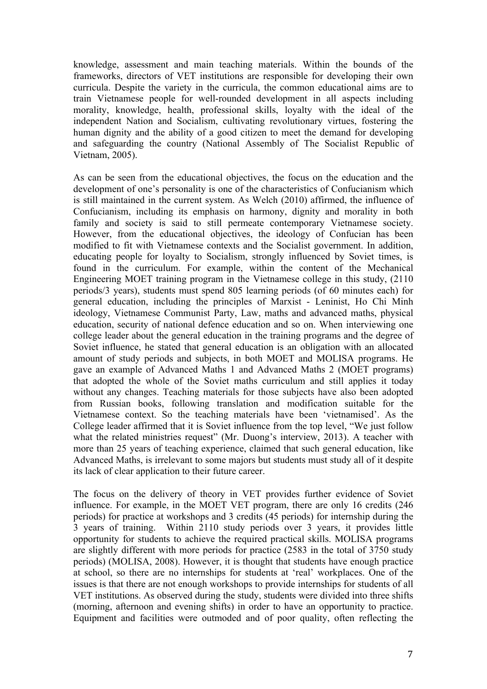knowledge, assessment and main teaching materials. Within the bounds of the frameworks, directors of VET institutions are responsible for developing their own curricula. Despite the variety in the curricula, the common educational aims are to train Vietnamese people for well-rounded development in all aspects including morality, knowledge, health, professional skills, loyalty with the ideal of the independent Nation and Socialism, cultivating revolutionary virtues, fostering the human dignity and the ability of a good citizen to meet the demand for developing and safeguarding the country (National Assembly of The Socialist Republic of Vietnam, 2005).

As can be seen from the educational objectives, the focus on the education and the development of one's personality is one of the characteristics of Confucianism which is still maintained in the current system. As Welch (2010) affirmed, the influence of Confucianism, including its emphasis on harmony, dignity and morality in both family and society is said to still permeate contemporary Vietnamese society. However, from the educational objectives, the ideology of Confucian has been modified to fit with Vietnamese contexts and the Socialist government. In addition, educating people for loyalty to Socialism, strongly influenced by Soviet times, is found in the curriculum. For example, within the content of the Mechanical Engineering MOET training program in the Vietnamese college in this study, (2110 periods/3 years), students must spend 805 learning periods (of 60 minutes each) for general education, including the principles of Marxist - Leninist, Ho Chi Minh ideology, Vietnamese Communist Party, Law, maths and advanced maths, physical education, security of national defence education and so on. When interviewing one college leader about the general education in the training programs and the degree of Soviet influence, he stated that general education is an obligation with an allocated amount of study periods and subjects, in both MOET and MOLISA programs. He gave an example of Advanced Maths 1 and Advanced Maths 2 (MOET programs) that adopted the whole of the Soviet maths curriculum and still applies it today without any changes. Teaching materials for those subjects have also been adopted from Russian books, following translation and modification suitable for the Vietnamese context. So the teaching materials have been 'vietnamised'. As the College leader affirmed that it is Soviet influence from the top level, "We just follow what the related ministries request" (Mr. Duong's interview, 2013). A teacher with more than 25 years of teaching experience, claimed that such general education, like Advanced Maths, is irrelevant to some majors but students must study all of it despite its lack of clear application to their future career.

The focus on the delivery of theory in VET provides further evidence of Soviet influence. For example, in the MOET VET program, there are only 16 credits (246 periods) for practice at workshops and 3 credits (45 periods) for internship during the 3 years of training. Within 2110 study periods over 3 years, it provides little opportunity for students to achieve the required practical skills. MOLISA programs are slightly different with more periods for practice (2583 in the total of 3750 study periods) (MOLISA, 2008). However, it is thought that students have enough practice at school, so there are no internships for students at 'real' workplaces. One of the issues is that there are not enough workshops to provide internships for students of all VET institutions. As observed during the study, students were divided into three shifts (morning, afternoon and evening shifts) in order to have an opportunity to practice. Equipment and facilities were outmoded and of poor quality, often reflecting the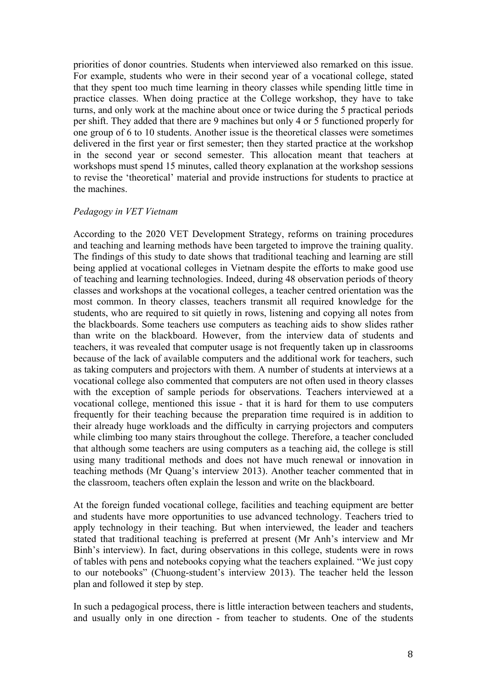priorities of donor countries. Students when interviewed also remarked on this issue. For example, students who were in their second year of a vocational college, stated that they spent too much time learning in theory classes while spending little time in practice classes. When doing practice at the College workshop, they have to take turns, and only work at the machine about once or twice during the 5 practical periods per shift. They added that there are 9 machines but only 4 or 5 functioned properly for one group of 6 to 10 students. Another issue is the theoretical classes were sometimes delivered in the first year or first semester; then they started practice at the workshop in the second year or second semester. This allocation meant that teachers at workshops must spend 15 minutes, called theory explanation at the workshop sessions to revise the 'theoretical' material and provide instructions for students to practice at the machines.

#### *Pedagogy in VET Vietnam*

According to the 2020 VET Development Strategy, reforms on training procedures and teaching and learning methods have been targeted to improve the training quality. The findings of this study to date shows that traditional teaching and learning are still being applied at vocational colleges in Vietnam despite the efforts to make good use of teaching and learning technologies. Indeed, during 48 observation periods of theory classes and workshops at the vocational colleges, a teacher centred orientation was the most common. In theory classes, teachers transmit all required knowledge for the students, who are required to sit quietly in rows, listening and copying all notes from the blackboards. Some teachers use computers as teaching aids to show slides rather than write on the blackboard. However, from the interview data of students and teachers, it was revealed that computer usage is not frequently taken up in classrooms because of the lack of available computers and the additional work for teachers, such as taking computers and projectors with them. A number of students at interviews at a vocational college also commented that computers are not often used in theory classes with the exception of sample periods for observations. Teachers interviewed at a vocational college, mentioned this issue - that it is hard for them to use computers frequently for their teaching because the preparation time required is in addition to their already huge workloads and the difficulty in carrying projectors and computers while climbing too many stairs throughout the college. Therefore, a teacher concluded that although some teachers are using computers as a teaching aid, the college is still using many traditional methods and does not have much renewal or innovation in teaching methods (Mr Quang's interview 2013). Another teacher commented that in the classroom, teachers often explain the lesson and write on the blackboard.

At the foreign funded vocational college, facilities and teaching equipment are better and students have more opportunities to use advanced technology. Teachers tried to apply technology in their teaching. But when interviewed, the leader and teachers stated that traditional teaching is preferred at present (Mr Anh's interview and Mr Binh's interview). In fact, during observations in this college, students were in rows of tables with pens and notebooks copying what the teachers explained. "We just copy to our notebooks" (Chuong-student's interview 2013). The teacher held the lesson plan and followed it step by step.

In such a pedagogical process, there is little interaction between teachers and students, and usually only in one direction - from teacher to students. One of the students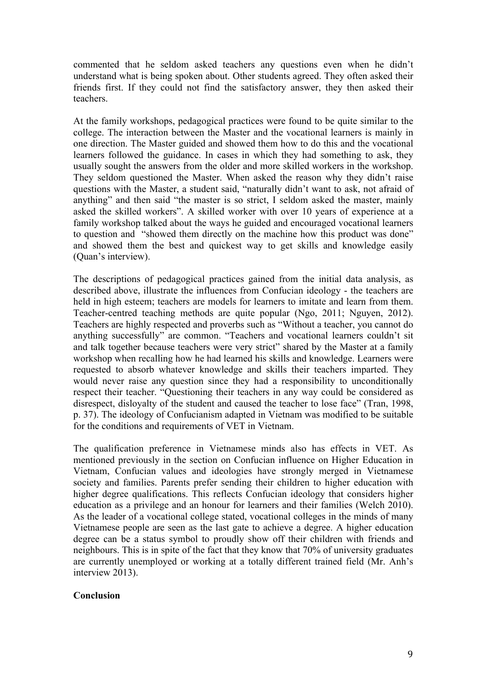commented that he seldom asked teachers any questions even when he didn't understand what is being spoken about. Other students agreed. They often asked their friends first. If they could not find the satisfactory answer, they then asked their teachers.

At the family workshops, pedagogical practices were found to be quite similar to the college. The interaction between the Master and the vocational learners is mainly in one direction. The Master guided and showed them how to do this and the vocational learners followed the guidance. In cases in which they had something to ask, they usually sought the answers from the older and more skilled workers in the workshop. They seldom questioned the Master. When asked the reason why they didn't raise questions with the Master, a student said, "naturally didn't want to ask, not afraid of anything" and then said "the master is so strict, I seldom asked the master, mainly asked the skilled workers". A skilled worker with over 10 years of experience at a family workshop talked about the ways he guided and encouraged vocational learners to question and "showed them directly on the machine how this product was done" and showed them the best and quickest way to get skills and knowledge easily (Quan's interview).

The descriptions of pedagogical practices gained from the initial data analysis, as described above, illustrate the influences from Confucian ideology - the teachers are held in high esteem; teachers are models for learners to imitate and learn from them. Teacher-centred teaching methods are quite popular (Ngo, 2011; Nguyen, 2012). Teachers are highly respected and proverbs such as "Without a teacher, you cannot do anything successfully" are common. "Teachers and vocational learners couldn't sit and talk together because teachers were very strict" shared by the Master at a family workshop when recalling how he had learned his skills and knowledge. Learners were requested to absorb whatever knowledge and skills their teachers imparted. They would never raise any question since they had a responsibility to unconditionally respect their teacher. "Questioning their teachers in any way could be considered as disrespect, disloyalty of the student and caused the teacher to lose face" (Tran, 1998, p. 37). The ideology of Confucianism adapted in Vietnam was modified to be suitable for the conditions and requirements of VET in Vietnam.

The qualification preference in Vietnamese minds also has effects in VET. As mentioned previously in the section on Confucian influence on Higher Education in Vietnam, Confucian values and ideologies have strongly merged in Vietnamese society and families. Parents prefer sending their children to higher education with higher degree qualifications. This reflects Confucian ideology that considers higher education as a privilege and an honour for learners and their families (Welch 2010). As the leader of a vocational college stated, vocational colleges in the minds of many Vietnamese people are seen as the last gate to achieve a degree. A higher education degree can be a status symbol to proudly show off their children with friends and neighbours. This is in spite of the fact that they know that 70% of university graduates are currently unemployed or working at a totally different trained field (Mr. Anh's interview 2013).

### **Conclusion**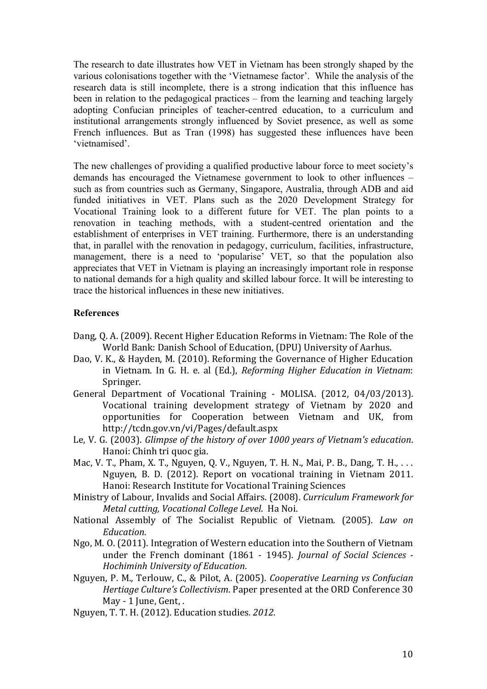The research to date illustrates how VET in Vietnam has been strongly shaped by the various colonisations together with the 'Vietnamese factor'. While the analysis of the research data is still incomplete, there is a strong indication that this influence has been in relation to the pedagogical practices – from the learning and teaching largely adopting Confucian principles of teacher-centred education, to a curriculum and institutional arrangements strongly influenced by Soviet presence, as well as some French influences. But as Tran (1998) has suggested these influences have been 'vietnamised'.

The new challenges of providing a qualified productive labour force to meet society's demands has encouraged the Vietnamese government to look to other influences – such as from countries such as Germany, Singapore, Australia, through ADB and aid funded initiatives in VET. Plans such as the 2020 Development Strategy for Vocational Training look to a different future for VET. The plan points to a renovation in teaching methods, with a student-centred orientation and the establishment of enterprises in VET training. Furthermore, there is an understanding that, in parallel with the renovation in pedagogy, curriculum, facilities, infrastructure, management, there is a need to 'popularise' VET, so that the population also appreciates that VET in Vietnam is playing an increasingly important role in response to national demands for a high quality and skilled labour force. It will be interesting to trace the historical influences in these new initiatives.

## **References**

- Dang, Q. A. (2009). Recent Higher Education Reforms in Vietnam: The Role of the World Bank: Danish School of Education, (DPU) University of Aarhus.
- Dao, V. K., & Hayden, M. (2010). Reforming the Governance of Higher Education in Vietnam. In G. H. e. al (Ed.), *Reforming Higher Education in Vietnam*: Springer.
- General Department of Vocational Training MOLISA. (2012, 04/03/2013). Vocational training development strategy of Vietnam by 2020 and opportunities for Cooperation between Vietnam and UK, from http://tcdn.gov.vn/vi/Pages/default.aspx
- Le, V. G. (2003). *Glimpse of the history of over 1000 years of Vietnam's education.* Hanoi: Chinh tri quoc gia.
- Mac, V. T., Pham, X. T., Nguyen, Q. V., Nguyen, T. H. N., Mai, P. B., Dang, T. H., ... Nguyen, B. D. (2012). Report on vocational training in Vietnam 2011. Hanoi: Research Institute for Vocational Training Sciences
- Ministry of Labour, Invalids and Social Affairs. (2008). *Curriculum Framework for Metal cutting, Vocational College Level. Ha Noi.*
- National Assembly of The Socialist Republic of Vietnam. (2005). *Law on Education*.
- Ngo, M. O. (2011). Integration of Western education into the Southern of Vietnam under the French dominant (1861 - 1945). *Journal of Social Sciences* -*Hochiminh\*University\*of\*Education*.!
- Nguyen, P. M., Terlouw, C., & Pilot, A. (2005). *Cooperative Learning vs Confucian Hertiage Culture's Collectivism. Paper presented at the ORD Conference 30* May - 1 June, Gent, .
- Nguyen, T. T. H. (2012). Education studies. *2012*.